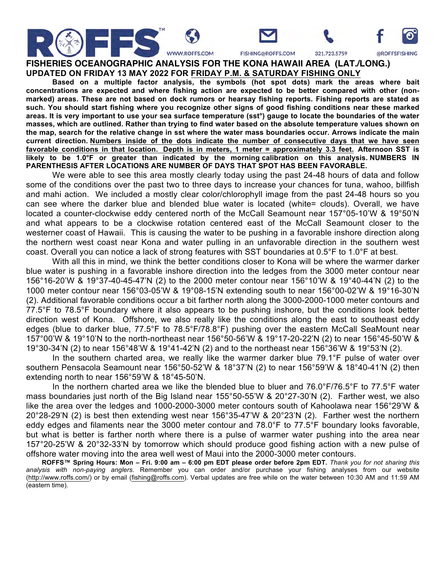

FISHING@ROFFS.COM

321.723.5759

@ROFFSFISHING

**FISHERIES OCEANOGRAPHIC ANALYSIS FOR THE KONA HAWAII AREA (LAT./LONG.) UPDATED ON FRIDAY 13 MAY 2022 FOR FRIDAY P.M. & SATURDAY FISHING ONLY**

**Based on a multiple factor analysis, the symbols (hot spot dots) mark the areas where bait concentrations are expected and where fishing action are expected to be better compared with other (nonmarked) areas. These are not based on dock rumors or hearsay fishing reports. Fishing reports are stated as such. You should start fishing where you recognize other signs of good fishing conditions near these marked areas. It is very important to use your sea surface temperature (sst°) gauge to locate the boundaries of the water masses, which are outlined. Rather than trying to find water based on the absolute temperature values shown on the map, search for the relative change in sst where the water mass boundaries occur. Arrows indicate the main current direction. Numbers inside of the dots indicate the number of consecutive days that we have seen favorable conditions in that location. Depth is in meters, 1 meter = approximately 3.3 feet. Afternoon SST is likely to be 1.0°F or greater than indicated by the morning calibration on this analysis. NUMBERS IN PARENTHESIS AFTER LOCATIONS ARE NUMBER OF DAYS THAT SPOT HAS BEEN FAVORABLE.**

We were able to see this area mostly clearly today using the past 24-48 hours of data and follow some of the conditions over the past two to three days to increase your chances for tuna, wahoo, billfish and mahi action. We included a mostly clear color/chlorophyll image from the past 24-48 hours so you can see where the darker blue and blended blue water is located (white= clouds). Overall, we have located a counter-clockwise eddy centered north of the McCall Seamount near 157°05-10'W & 19°50'N and what appears to be a clockwise rotation centered east of the McCall Seamount closer to the westerner coast of Hawaii. This is causing the water to be pushing in a favorable inshore direction along the northern west coast near Kona and water pulling in an unfavorable direction in the southern west coast. Overall you can notice a lack of strong features with SST boundaries at 0.5°F to 1.0°F at best.

With all this in mind, we think the better conditions closer to Kona will be where the warmer darker blue water is pushing in a favorable inshore direction into the ledges from the 3000 meter contour near 156°16-20'W & 19°37-40-45-47'N (2) to the 2000 meter contour near 156°10'W & 19°40-44'N (2) to the 1000 meter contour near 156°03-05'W & 19°08-15'N extending south to near 156°00-02'W & 19°16-30'N (2). Additional favorable conditions occur a bit farther north along the 3000-2000-1000 meter contours and 77.5°F to 78.5°F boundary where it also appears to be pushing inshore, but the conditions look better direction west of Kona. Offshore, we also really like the conditions along the east to southeast eddy edges (blue to darker blue, 77.5°F to 78.5°F/78.8°F) pushing over the eastern McCall SeaMount near 157°00'W & 19°10'N to the north-northeast near 156°50-56'W & 19°17-20-22'N (2) to near 156°45-50'W & 19°30-34'N (2) to near 156°48'W & 19°41-42'N (2) and to the northeast near 156°36'W & 19°53'N (2).

In the southern charted area, we really like the warmer darker blue 79.1°F pulse of water over southern Pensacola Seamount near 156°50-52'W & 18°37'N (2) to near 156°59'W & 18°40-41'N (2) then extending north to near 156°59'W & 18°45-50'N.

In the northern charted area we like the blended blue to bluer and 76.0°F/76.5°F to 77.5°F water mass boundaries just north of the Big Island near 155°50-55'W & 20°27-30'N (2). Farther west, we also like the area over the ledges and 1000-2000-3000 meter contours south of Kahoolawa near 156°29'W & 20°28-29'N (2) is best then extending west near 156°35-47'W & 20°23'N (2). Farther west the northern eddy edges and filaments near the 3000 meter contour and 78.0°F to 77.5°F boundary looks favorable, but what is better is farther north where there is a pulse of warmer water pushing into the area near 157°20-25'W & 20°32-33'N by tomorrow which should produce good fishing action with a new pulse of offshore water moving into the area well west of Maui into the 2000-3000 meter contours.

**ROFFS™ Spring Hours: Mon – Fri. 9:00 am – 6:00 pm EDT please order before 2pm EDT.** *Thank you for not sharing this analysis with non-paying anglers*. Remember you can order and/or purchase your fishing analyses from our website (http://www.roffs.com/) or by email (fishing@roffs.com). Verbal updates are free while on the water between 10:30 AM and 11:59 AM (eastern time).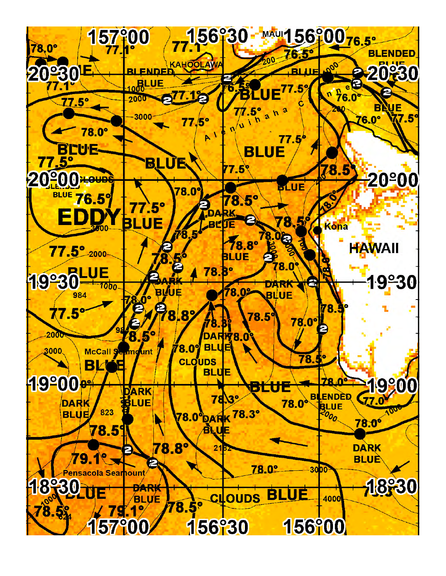